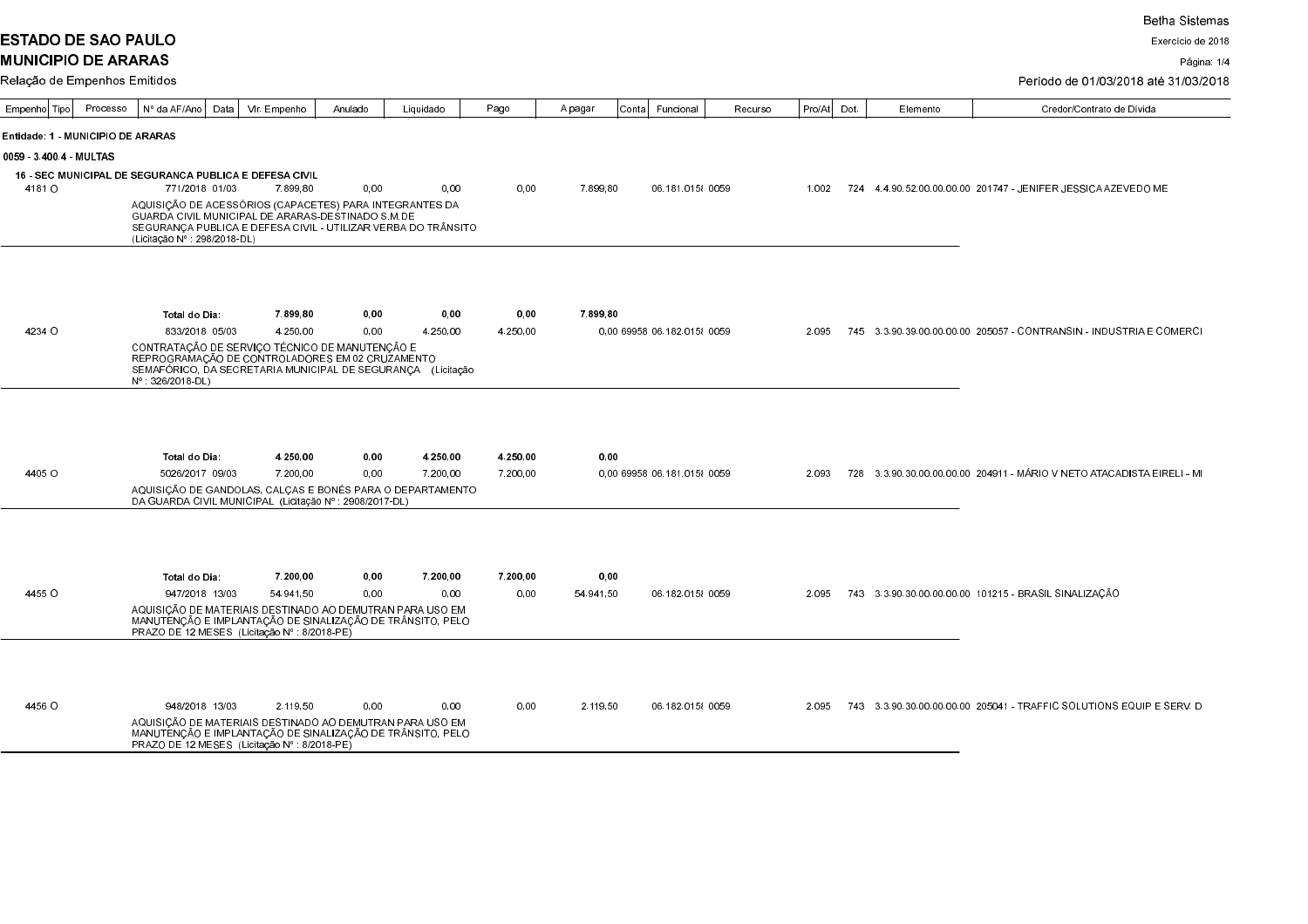**ESTADO DE SAO PAULO MUNICIPIO DE ARARAS** 

Exercício de 2018

Página: 1/4

| <b>I</b> Relacão de Empenhos Emitidos |  |
|---------------------------------------|--|

| Período de 01/03/2018 até 31/03/2018 |  |
|--------------------------------------|--|

| Empenho Tipo                      | Processo | Nº da AF/Ano                                                                                                                                                                                   | Data | Vir. Empenho          | Anulado      | Liquidado                                                     | Pago                 | A pagar            | Conta Funcional             | Recurso | Pro/At | Dot. | Elemento | Credor/Contrato de Dívida                                                         |
|-----------------------------------|----------|------------------------------------------------------------------------------------------------------------------------------------------------------------------------------------------------|------|-----------------------|--------------|---------------------------------------------------------------|----------------------|--------------------|-----------------------------|---------|--------|------|----------|-----------------------------------------------------------------------------------|
| Entidade: 1 - MUNICIPIO DE ARARAS |          |                                                                                                                                                                                                |      |                       |              |                                                               |                      |                    |                             |         |        |      |          |                                                                                   |
| 0059 3400.4 MULTAS                |          |                                                                                                                                                                                                |      |                       |              |                                                               |                      |                    |                             |         |        |      |          |                                                                                   |
|                                   |          | <b>16 - SEC MUNICIPAL DE SEGURANCA PUBLICA E DEFESA CIVIL</b>                                                                                                                                  |      |                       |              |                                                               |                      |                    |                             |         |        |      |          |                                                                                   |
| 4181 O                            |          | 771/2018 01/03                                                                                                                                                                                 |      | 7.899.80              | 0.00         | 0.00                                                          | 0.00                 | 7.899.80           | 06.181.015 {0059}           |         | 1.002  |      |          | 724   4   4   90   52   00   00   00   00   201747   JENIFER JESSICA AZEVEDO   ME |
|                                   |          | AQUISIÇÃO DE ACESSÓRIOS (CAPACETES) PARA INTEGRANTES DA<br>GUARDA CIVIL MUNICIPAL DE ARARAS-DESTINADO S M DE<br>(Licitação Nº : 298/2018-DL)                                                   |      |                       |              | SEGURANÇA PUBLICA E DEFESA CIVIL - UTILIZAR VERBA DO TRÂNSITO |                      |                    |                             |         |        |      |          |                                                                                   |
|                                   |          |                                                                                                                                                                                                |      |                       |              |                                                               |                      |                    |                             |         |        |      |          |                                                                                   |
|                                   |          | Total do Dia:                                                                                                                                                                                  |      | 7899,80               | 0.00         | 0,00                                                          | 0,00                 | 7899.80            |                             |         |        |      |          |                                                                                   |
| 4234 O                            |          | 833/2018 05/03                                                                                                                                                                                 |      | 4 250.00              | 0.00         | 4.250,00                                                      | 4.250,00             |                    | 0.00 69958 06 182 0158 0059 |         | 2.095  |      |          |                                                                                   |
|                                   |          | CONTRATAÇÃO DE SERVIÇO TÉCNICO DE MANUTENÇÃO E<br>REPROGRAMAÇÃO DE CONTROLADORES EM 02 CRUZAMENTO<br>SEMAFÓRICO, DA SECRETARIA MUNICIPAL DE SEGURANÇA (Licitação<br>$N^{\circ}$ : 326/2018-DL) |      |                       |              |                                                               |                      |                    |                             |         |        |      |          |                                                                                   |
| 4405 O                            |          | Total do Dia:<br>5026/2017 09/03<br>AQUISIÇÃO DE GANDOLAS, CALÇAS E BONÉS PARA O DEPARTAMENTO<br>DA GUARDA CIVIL MUNICIPAL (Licitação Nº : 2908/2017-DL)                                       |      | 4 250,00<br>7.200.00  | 0,00<br>0,00 | 4 250,00<br>7.200.00                                          | 4 250,00<br>7.200,00 | 0,00               | 0.00 69958 06 181 0158 0059 |         | 2.093  |      |          | 728 3.3.90.30.00.00.00.00 204911 - MÁRIO V NETO ATACADISTA EIRELI - MI            |
| 4455 O                            |          | Total do Dia:<br>947/2018 13/03                                                                                                                                                                |      | 7 200,00<br>54 941 50 | 0,00<br>0.00 | 7 200,00<br>0.00                                              | 7 200,00<br>0.00     | 0,00<br>54 94 1 50 | 06.182.015 {0059}           |         | 2.095  |      |          | 743 3.3.90.30.00.00.00.00 101215 - BRASIL SINALIZACÃO                             |
|                                   |          | MANUTENÇÃO E IMPLANTAÇÃO DE SINALIZAÇÃO DE TRÂNSITO, PELO<br>PRAZO DE 12 MESES (Licitação Nº : 8/2018-PE)                                                                                      |      |                       |              | AQUISIÇÃO DE MATERIAIS DESTINADO AO DEMUTRAN PARA USO EM      |                      |                    |                             |         |        |      |          |                                                                                   |
| 4456 O                            |          | 948/2018 13/03                                                                                                                                                                                 |      | 2.119.50              | 0,00         | 0.00                                                          | 0.00                 | 2.119.50           | 06.182.015 {0059}           |         | 2.095  |      |          | 743    3.3.90.30.00.00.00.00    205041    - TRAFFIC SOLUTIONS EQUIP E SERV D      |
|                                   |          | MANUTENÇÃO E IMPLANTAÇÃO DE SINALIZAÇÃO DE TRÂNSITO, PELO<br>PRAZO DE 12 MESES (Licitação Nº 8/2018-PE)                                                                                        |      |                       |              | AQUISIÇÃO DE MATERIAIS DESTINADO AO DEMUTRAN PARA USO EM      |                      |                    |                             |         |        |      |          |                                                                                   |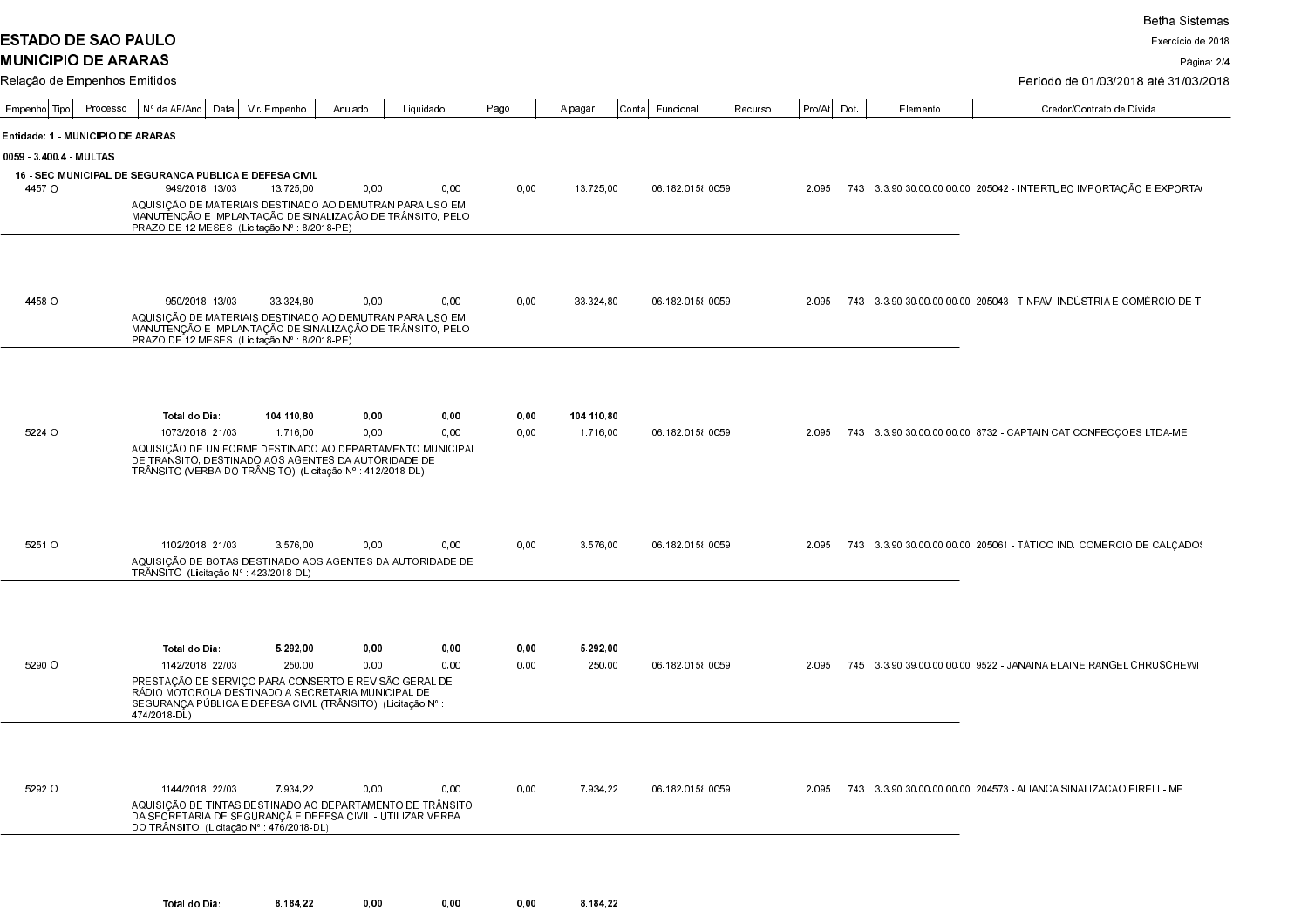**ESTADO DE SAO PAULO** 

┱ ┱

## Período de 01/03/2018 até 31/03/2018

| Empenho  Tipo                     | Processo | Nº da AF/Ano   Data |                 | Vir. Empenho                                                                                                      | Anulado | Liquidado                                                                                                                | Pago | A pagar    | Conta  Funcional  | Recurso | Pro/Atl Dot | Elemento | Credor/Contrato de Dívida                                               |
|-----------------------------------|----------|---------------------|-----------------|-------------------------------------------------------------------------------------------------------------------|---------|--------------------------------------------------------------------------------------------------------------------------|------|------------|-------------------|---------|-------------|----------|-------------------------------------------------------------------------|
| Entidade: 1 - MUNICIPIO DE ARARAS |          |                     |                 |                                                                                                                   |         |                                                                                                                          |      |            |                   |         |             |          |                                                                         |
| 0059 34004 MULTAS                 |          |                     |                 |                                                                                                                   |         |                                                                                                                          |      |            |                   |         |             |          |                                                                         |
|                                   |          |                     |                 | 16 - SEC MUNICIPAL DE SEGURANCA PUBLICA E DEFESA CIVIL                                                            |         |                                                                                                                          |      |            |                   |         |             |          |                                                                         |
| 4457 O                            |          |                     | 949/2018 13/03  | 13.725.00                                                                                                         | 0.00    | 0.00                                                                                                                     | 0.00 | 13.725,00  | 06 182 015  0059  |         |             |          | 2.095 743 3.3.90.30.00.00.00.00 205042 - INTERTUBO IMPORTAÇÃO E EXPORTA |
|                                   |          |                     |                 | PRAZO DE 12 MESES (Licitação Nº : 8/2018-PE)                                                                      |         | AQUISIÇÃO DE MATERIAIS DESTINADO AO DEMUTRAN PARA USO EM<br>MANUTENÇÃO E IMPLANTAÇÃO DE SINALIZAÇÃO DE TRÂNSITO, PELO    |      |            |                   |         |             |          |                                                                         |
|                                   |          |                     |                 |                                                                                                                   |         |                                                                                                                          |      |            |                   |         |             |          |                                                                         |
|                                   |          |                     |                 |                                                                                                                   |         |                                                                                                                          |      |            |                   |         |             |          |                                                                         |
| 4458 O                            |          |                     | 950/2018 13/03  | 33.324.80                                                                                                         | 0,00    | 0.00                                                                                                                     | 0,00 | 33.324,80  | 06 182 015  0059  |         | 2.095       |          | 743  3.3.90.30.00.00.00.00  205043 - TINPAVI INDÚSTRIA E COMÉRCIO DE T  |
|                                   |          |                     |                 | PRAZO DE 12 MESES (Licitação Nº : 8/2018-PE)                                                                      |         | AQUISIÇÃO DE MATERIAIS DESTINADO AO DEMUTRAN PARA USO EM<br>MANUTENÇÃO E IMPLANTAÇÃO DE SINALIZAÇÃO DE TRÂNSITO, PELO    |      |            |                   |         |             |          |                                                                         |
|                                   |          |                     |                 |                                                                                                                   |         |                                                                                                                          |      |            |                   |         |             |          |                                                                         |
|                                   |          |                     |                 |                                                                                                                   |         |                                                                                                                          |      |            |                   |         |             |          |                                                                         |
|                                   |          | Total do Dia:       |                 | 104 110 80                                                                                                        | 0,00    | 0,00                                                                                                                     | 0,00 | 104.110,80 |                   |         |             |          |                                                                         |
| 5224 O                            |          |                     | 1073/2018 21/03 | 1.716.00                                                                                                          | 0,00    | 0.00                                                                                                                     | 0,00 | 1.716,00   | 06.182.015 {0059  |         | 2.095       |          | 743 3 3 90 30 00 00 00 00 8732 - CAPTAIN CAT CONFECÇOES LTDA-ME         |
|                                   |          |                     |                 | DE TRANSITO, DESTINADO AOS AGENTES DA AUTORIDADE DE<br>TRÂNSITO (VERBA DO TRÂNSITO) (Licitação Nº : 412/2018-DL)  |         | AQUISIÇÃO DE UNIFORME DESTINADO AO DEPARTAMENTO MUNICIPAL                                                                |      |            |                   |         |             |          |                                                                         |
|                                   |          |                     |                 |                                                                                                                   |         |                                                                                                                          |      |            |                   |         |             |          |                                                                         |
|                                   |          |                     |                 |                                                                                                                   |         |                                                                                                                          |      |            |                   |         |             |          |                                                                         |
| 5251 O                            |          |                     | 1102/2018 21/03 | 3.576.00                                                                                                          | 0,00    | 0.00                                                                                                                     | 0,00 | 3.576,00   | 06.182.015 { 0059 |         | 2.095       |          |                                                                         |
|                                   |          |                     |                 | TRÂNSITO (Licitação Nº : 423/2018-DL)                                                                             |         | AQUISIÇÃO DE BOTAS DESTINADO AOS AGENTES DA AUTORIDADE DE                                                                |      |            |                   |         |             |          |                                                                         |
|                                   |          |                     |                 |                                                                                                                   |         |                                                                                                                          |      |            |                   |         |             |          |                                                                         |
|                                   |          |                     |                 |                                                                                                                   |         |                                                                                                                          |      |            |                   |         |             |          |                                                                         |
|                                   |          | Total do Dia:       |                 | 5 292 00                                                                                                          | 0,00    | 0,00                                                                                                                     | 0,00 | 5.292,00   |                   |         |             |          |                                                                         |
| 5290 O                            |          |                     | 1142/2018 22/03 | 250.00<br>PRESTAÇÃO DE SERVIÇO PARA CONSERTO E REVISÃO GERAL DE                                                   | 0,00    | 0.00                                                                                                                     | 0,00 | 250,00     | 06.182.015 { 0059 |         | 2.095       |          | 745 3.3.90.39.00.00.00.00 9522 - JANAINA ELAINE RANGEL CHRUSCHEWIT      |
|                                   |          | 474/2018-DL)        |                 | RÁDIO MOTOROLA DESTINADO A SECRETARIA MUNICIPAL DE<br>SEGURANÇA PÚBLICA E DEFESA CIVIL (TRÂNSITO) (Licitação Nº : |         |                                                                                                                          |      |            |                   |         |             |          |                                                                         |
|                                   |          |                     |                 |                                                                                                                   |         |                                                                                                                          |      |            |                   |         |             |          |                                                                         |
|                                   |          |                     |                 |                                                                                                                   |         |                                                                                                                          |      |            |                   |         |             |          |                                                                         |
| 5292 O                            |          |                     | 1144/2018 22/03 | 7.934.22                                                                                                          | 0,00    | 0.00                                                                                                                     | 0,00 | 7.934.22   | 06.182.015 {0059  |         | 2.095       |          | 743 3.3 90.30.00.00.00.00 204573 - ALIANCA SINALIZACAO EIRELI - ME      |
|                                   |          |                     |                 | DO TRÂNSITO (Licitação Nº : 476/2018-DL)                                                                          |         | AQUISIÇÃO DE TINTAS DESTINADO AO DEPARTAMENTO DE TRÂNSITO,<br>DA SECRETARIA DE SEGURANÇÃ E DEFESA CIVIL - UTILIZAR VERBA |      |            |                   |         |             |          |                                                                         |
|                                   |          |                     |                 |                                                                                                                   |         |                                                                                                                          |      |            |                   |         |             |          |                                                                         |
|                                   |          |                     |                 |                                                                                                                   |         |                                                                                                                          |      |            |                   |         |             |          |                                                                         |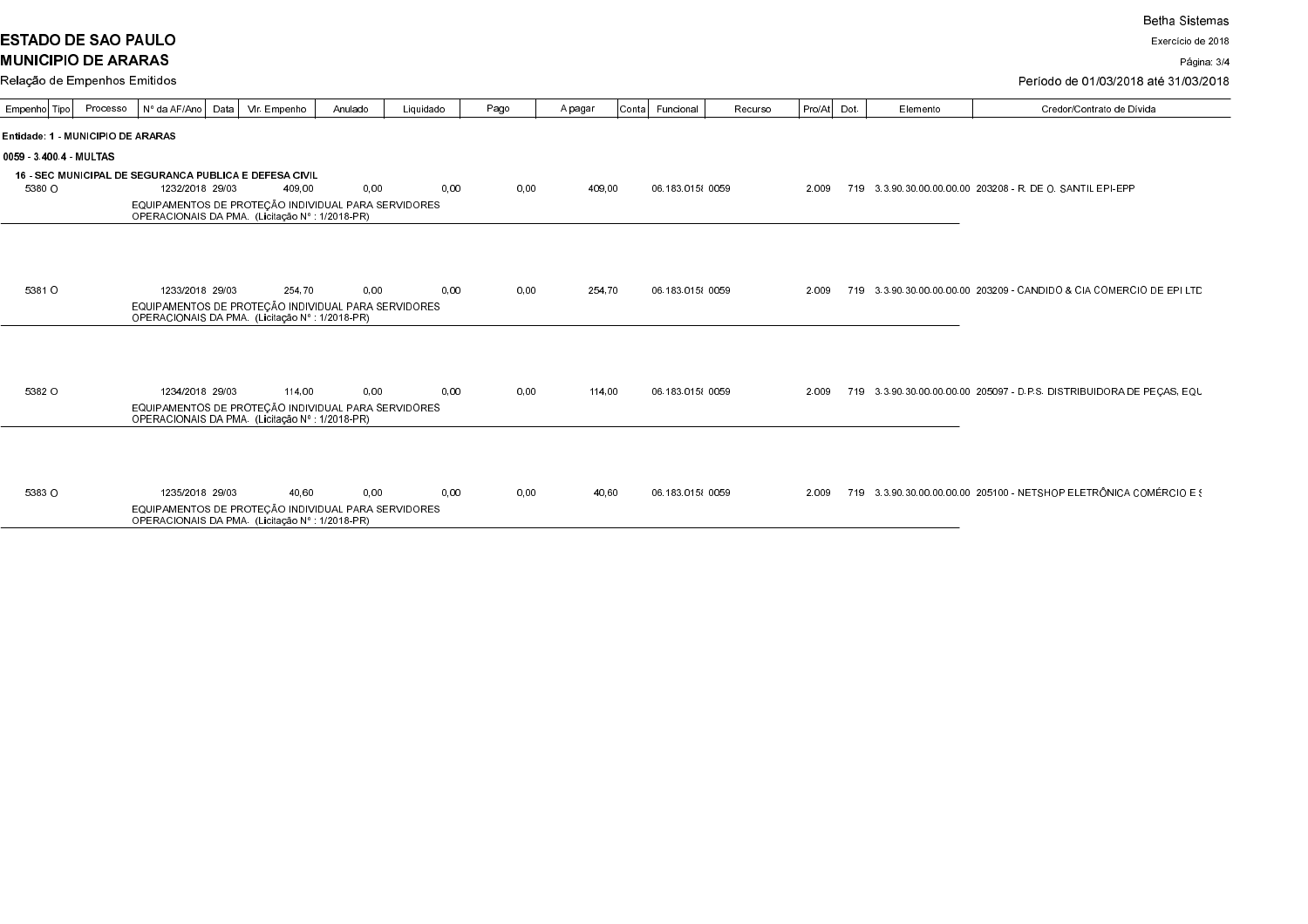**ESTADO DE SAO PAULO MUNICIPIO DE ARARAS** 

Exercício de 2018

Página: 3/4

| Relação de Empenhos Emitidos |  |
|------------------------------|--|
|------------------------------|--|

| Período de 01/03/2018 até 31/03/2018 |  |
|--------------------------------------|--|
|                                      |  |

| Empenho Tipo       | Processo                          | Nº da AF/Ano Data   Vir. Empenho                                                                       |        | Anulado | Liquidado | Pago | A pagar | Contal | Funcional         | Recurso | Pro/At | Dot. | Elemento | Credor/Contrato de Dívida                                              |
|--------------------|-----------------------------------|--------------------------------------------------------------------------------------------------------|--------|---------|-----------|------|---------|--------|-------------------|---------|--------|------|----------|------------------------------------------------------------------------|
|                    | Entidade: 1 - MUNICIPIO DE ARARAS |                                                                                                        |        |         |           |      |         |        |                   |         |        |      |          |                                                                        |
| 0059 3400.4 MULTAS |                                   |                                                                                                        |        |         |           |      |         |        |                   |         |        |      |          |                                                                        |
|                    |                                   | <b>16 - SEC MUNICIPAL DE SEGURANCA PUBLICA E DEFESA CIVIL</b>                                          |        |         |           |      |         |        |                   |         |        |      |          |                                                                        |
| 5380 O             |                                   | 1232/2018 29/03                                                                                        | 409.00 | 0,00    | 0.00      | 0.00 | 409,00  |        | 06.183.015 {0059} |         | 2.009  |      |          | 719 3.3.90.30.00.00.00.00 203208 - R. DE O. SANTIL EPI-EPP             |
|                    |                                   | EQUIPAMENTOS DE PROTEÇÃO INDIVIDUAL PARA SERVIDORES<br>OPERACIONAIS DA PMA. (Licitação Nº : 1/2018-PR) |        |         |           |      |         |        |                   |         |        |      |          |                                                                        |
|                    |                                   |                                                                                                        |        |         |           |      |         |        |                   |         |        |      |          |                                                                        |
|                    |                                   |                                                                                                        |        |         |           |      |         |        |                   |         |        |      |          |                                                                        |
|                    |                                   |                                                                                                        |        |         |           |      |         |        |                   |         |        |      |          |                                                                        |
| 5381 O             |                                   | 1233/2018 29/03                                                                                        | 254.70 | 0.00    | 0.00      | 0.00 | 254.70  |        | 06.183.015 {0059} |         | 2.009  |      |          | 719 3 3 90 30 00 00 00 00 203209 - CANDIDO & CIA COMERCIO DE EPI LTD   |
|                    |                                   | EQUIPAMENTOS DE PROTEÇÃO INDIVIDUAL PARA SERVIDORES<br>OPERACIONAIS DA PMA. (Licitação № : 1/2018-PR)  |        |         |           |      |         |        |                   |         |        |      |          |                                                                        |
|                    |                                   |                                                                                                        |        |         |           |      |         |        |                   |         |        |      |          |                                                                        |
|                    |                                   |                                                                                                        |        |         |           |      |         |        |                   |         |        |      |          |                                                                        |
|                    |                                   |                                                                                                        |        |         |           |      |         |        |                   |         |        |      |          |                                                                        |
| 5382 O             |                                   | 1234/2018 29/03                                                                                        | 114.00 | 0,00    | 0,00      | 0.00 |         | 114.00 | 06 183 015 { 0059 |         | 2.009  |      |          | 719 3 3 90 30 00 00 00 00 205097 - D.P.S. DISTRIBUID ORA DE PECAS, EQU |
|                    |                                   | EQUIPAMENTOS DE PROTEÇÃO INDIVIDUAL PARA SERVIDORES                                                    |        |         |           |      |         |        |                   |         |        |      |          |                                                                        |
|                    |                                   | OPERACIONAIS DA PMA. (Licitação Nº : 1/2018-PR)                                                        |        |         |           |      |         |        |                   |         |        |      |          |                                                                        |
|                    |                                   |                                                                                                        |        |         |           |      |         |        |                   |         |        |      |          |                                                                        |
|                    |                                   |                                                                                                        |        |         |           |      |         |        |                   |         |        |      |          |                                                                        |
|                    |                                   |                                                                                                        |        |         |           |      |         |        |                   |         |        |      |          |                                                                        |
| 5383 O             |                                   | 1235/2018 29/03                                                                                        | 40.60  | 0.00    | 0.00      | 0.00 |         | 40,60  | 06.183.015 {0059} |         | 2.009  |      |          | 719 3.3.90.30.00.00.00.00 205100 - NETSHOP ELETRÔNICA COMÉRCIO E \$    |
|                    |                                   | EQUIPAMENTOS DE PROTEÇÃO INDIVIDUAL PARA SERVIDORES<br>OPERACIONAIS DA PMA. (Licitação Nº : 1/2018-PR) |        |         |           |      |         |        |                   |         |        |      |          |                                                                        |
|                    |                                   |                                                                                                        |        |         |           |      |         |        |                   |         |        |      |          |                                                                        |